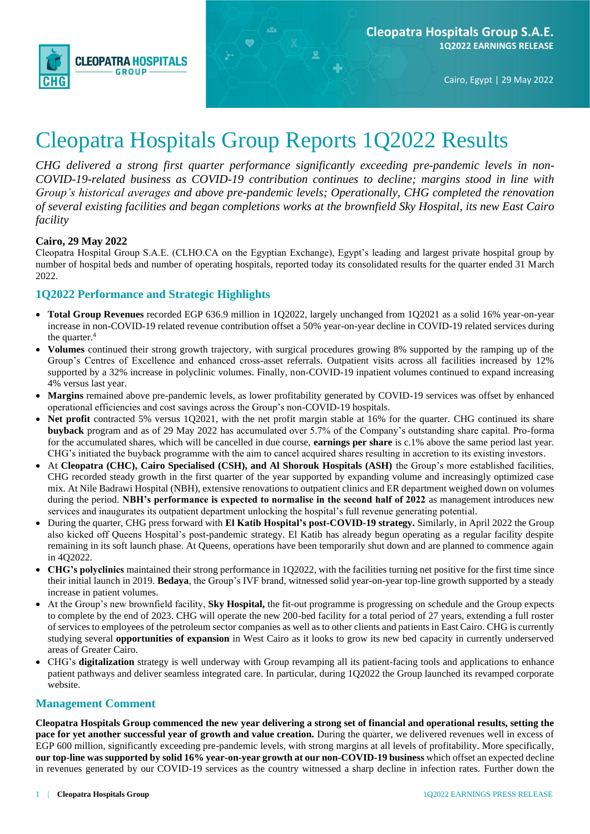

Cairo, Egypt | 29 May 2022

# Cleopatra Hospitals Group Reports 1Q2022 Results

*CHG delivered a strong first quarter performance significantly exceeding pre-pandemic levels in non-COVID-19-related business as COVID-19 contribution continues to decline; margins stood in line with Group's historical averages and above pre-pandemic levels; Operationally, CHG completed the renovation of several existing facilities and began completions works at the brownfield Sky Hospital, its new East Cairo facility*

#### **Cairo, 29 May 2022**

Cleopatra Hospital Group S.A.E. (CLHO.CA on the Egyptian Exchange), Egypt's leading and largest private hospital group by number of hospital beds and number of operating hospitals, reported today its consolidated results for the quarter ended 31 March 2022.

#### **1Q2022 Performance and Strategic Highlights**

- **Total Group Revenues** recorded EGP 636.9 million in 1Q2022, largely unchanged from 1Q2021 as a solid 16% year-on-year increase in non-COVID-19 related revenue contribution offset a 50% year-on-year decline in COVID-19 related services during the quarter.<sup>4</sup>
- **Volumes** continued their strong growth trajectory, with surgical procedures growing 8% supported by the ramping up of the Group's Centres of Excellence and enhanced cross-asset referrals. Outpatient visits across all facilities increased by 12% supported by a 32% increase in polyclinic volumes. Finally, non-COVID-19 inpatient volumes continued to expand increasing 4% versus last year.
- Margins remained above pre-pandemic levels, as lower profitability generated by COVID-19 services was offset by enhanced operational efficiencies and cost savings across the Group's non-COVID-19 hospitals.
- **Net profit** contracted 5% versus 1Q2021, with the net profit margin stable at 16% for the quarter. CHG continued its share **buyback** program and as of 29 May 2022 has accumulated over 5.7% of the Company's outstanding share capital. Pro-forma for the accumulated shares, which will be cancelled in due course, **earnings per share** is c.1% above the same period last year. CHG's initiated the buyback programme with the aim to cancel acquired shares resulting in accretion to its existing investors.
- At **Cleopatra (CHC), Cairo Specialised (CSH), and Al Shorouk Hospitals (ASH)** the Group's more established facilities, CHG recorded steady growth in the first quarter of the year supported by expanding volume and increasingly optimized case mix. At Nile Badrawi Hospital (NBH), extensive renovations to outpatient clinics and ER department weighed down on volumes during the period. **NBH's performance is expected to normalise in the second half of 2022** as management introduces new services and inaugurates its outpatient department unlocking the hospital's full revenue generating potential.
- During the quarter, CHG press forward with **El Katib Hospital's post-COVID-19 strategy.** Similarly, in April 2022 the Group also kicked off Queens Hospital's post-pandemic strategy. El Katib has already begun operating as a regular facility despite remaining in its soft launch phase. At Queens, operations have been temporarily shut down and are planned to commence again in 4Q2022.
- **CHG's polyclinics** maintained their strong performance in 1Q2022, with the facilities turning net positive for the first time since their initial launch in 2019. **Bedaya**, the Group's IVF brand, witnessed solid year-on-year top-line growth supported by a steady increase in patient volumes.
- At the Group's new brownfield facility, **Sky Hospital,** the fit-out programme is progressing on schedule and the Group expects to complete by the end of 2023. CHG will operate the new 200-bed facility for a total period of 27 years, extending a full roster of services to employees of the petroleum sector companies as well as to other clients and patients in East Cairo. CHG is currently studying several **opportunities of expansion** in West Cairo as it looks to grow its new bed capacity in currently underserved areas of Greater Cairo.
- CHG's **digitalization** strategy is well underway with Group revamping all its patient-facing tools and applications to enhance patient pathways and deliver seamless integrated care. In particular, during 1Q2022 the Group launched its revamped corporate website.

#### **Management Comment**

**Cleopatra Hospitals Group commenced the new year delivering a strong set of financial and operational results, setting the pace for yet another successful year of growth and value creation.** During the quarter, we delivered revenues well in excess of EGP 600 million, significantly exceeding pre-pandemic levels, with strong margins at all levels of profitability. More specifically, **our top-line was supported by solid 16% year-on-year growth at our non-COVID-19 business** which offset an expected decline in revenues generated by our COVID-19 services as the country witnessed a sharp decline in infection rates. Further down the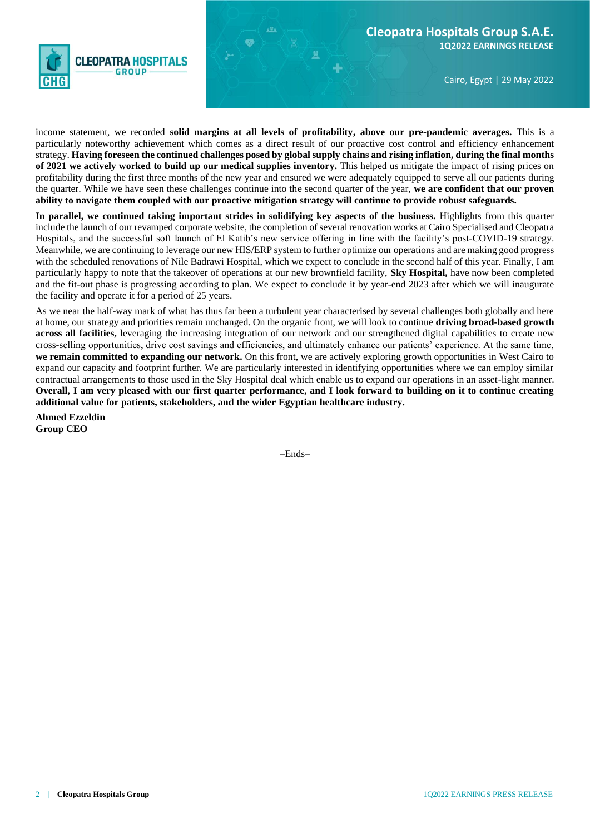

Cairo, Egypt | 29 May 2022

income statement, we recorded **solid margins at all levels of profitability, above our pre-pandemic averages.** This is a particularly noteworthy achievement which comes as a direct result of our proactive cost control and efficiency enhancement strategy. **Having foreseen the continued challenges posed by global supply chains and rising inflation, during the final months of 2021 we actively worked to build up our medical supplies inventory.** This helped us mitigate the impact of rising prices on profitability during the first three months of the new year and ensured we were adequately equipped to serve all our patients during the quarter. While we have seen these challenges continue into the second quarter of the year, **we are confident that our proven ability to navigate them coupled with our proactive mitigation strategy will continue to provide robust safeguards.**

**In parallel, we continued taking important strides in solidifying key aspects of the business.** Highlights from this quarter include the launch of our revamped corporate website, the completion of several renovation works at Cairo Specialised and Cleopatra Hospitals, and the successful soft launch of El Katib's new service offering in line with the facility's post-COVID-19 strategy. Meanwhile, we are continuing to leverage our new HIS/ERP system to further optimize our operations and are making good progress with the scheduled renovations of Nile Badrawi Hospital, which we expect to conclude in the second half of this year. Finally, I am particularly happy to note that the takeover of operations at our new brownfield facility, **Sky Hospital,** have now been completed and the fit-out phase is progressing according to plan. We expect to conclude it by year-end 2023 after which we will inaugurate the facility and operate it for a period of 25 years.

As we near the half-way mark of what has thus far been a turbulent year characterised by several challenges both globally and here at home, our strategy and priorities remain unchanged. On the organic front, we will look to continue **driving broad-based growth across all facilities**, leveraging the increasing integration of our network and our strengthened digital capabilities to create new cross-selling opportunities, drive cost savings and efficiencies, and ultimately enhance our patients' experience. At the same time, **we remain committed to expanding our network.** On this front, we are actively exploring growth opportunities in West Cairo to expand our capacity and footprint further. We are particularly interested in identifying opportunities where we can employ similar contractual arrangements to those used in the Sky Hospital deal which enable us to expand our operations in an asset-light manner. **Overall, I am very pleased with our first quarter performance, and I look forward to building on it to continue creating additional value for patients, stakeholders, and the wider Egyptian healthcare industry.**

**Ahmed Ezzeldin Group CEO**

 $-$ Ends $-$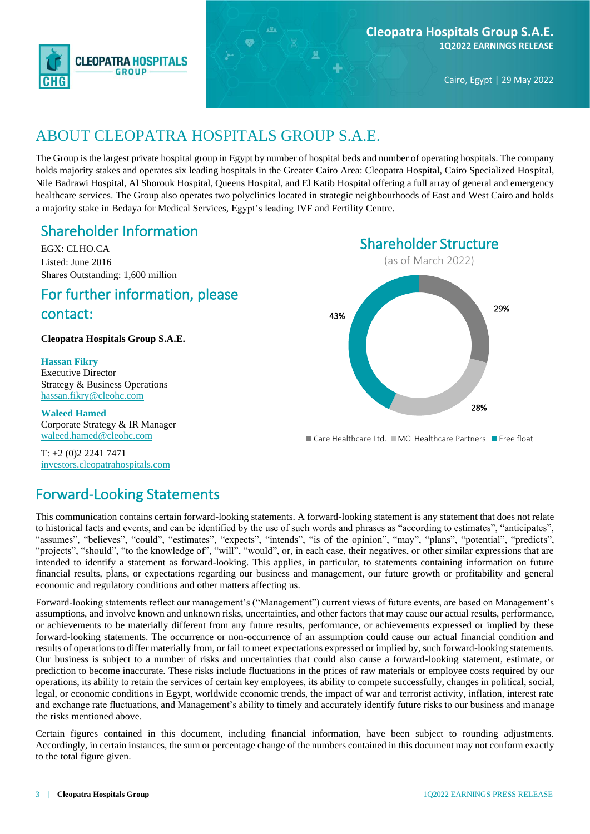

### ABOUT CLEOPATRA HOSPITALS GROUP S.A.E.

The Group is the largest private hospital group in Egypt by number of hospital beds and number of operating hospitals. The company holds majority stakes and operates six leading hospitals in the Greater Cairo Area: Cleopatra Hospital, Cairo Specialized Hospital, Nile Badrawi Hospital, Al Shorouk Hospital, Queens Hospital, and El Katib Hospital offering a full array of general and emergency healthcare services. The Group also operates two polyclinics located in strategic neighbourhoods of East and West Cairo and holds a majority stake in Bedaya for Medical Services, Egypt's leading IVF and Fertility Centre.

#### Shareholder Information

EGX: CLHO.CA Listed: June 2016 Shares Outstanding: 1,600 million

### For further information, please contact:

**Cleopatra Hospitals Group S.A.E.**

**Hassan Fikry** Executive Director Strategy & Business Operations [hassan.fikry@cleohc.com](mailto:hassan.fikry@cleohc.com)

**Waleed Hamed**  Corporate Strategy & IR Manager [waleed.hamed@cleohc.com](mailto:waleed.hamed@cleohc.com)

T: +2 (0)2 2241 7471 [investors.cleopatrahospitals.com](file://///server2/Inktank%20Work%20II/1.%20Clients/Cleopatra%20Healthcare/CLEO%20Quarterly%20financial%20reporting/CLEO%20ER%202016%20Q1/investors.cleopatrahospitals.com)

### Forward-Looking Statements

This communication contains certain forward-looking statements. A forward-looking statement is any statement that does not relate to historical facts and events, and can be identified by the use of such words and phrases as "according to estimates", "anticipates", "assumes", "believes", "could", "estimates", "expects", "intends", "is of the opinion", "may", "plans", "potential", "predicts", "projects", "should", "to the knowledge of", "will", "would", or, in each case, their negatives, or other similar expressions that are intended to identify a statement as forward-looking. This applies, in particular, to statements containing information on future financial results, plans, or expectations regarding our business and management, our future growth or profitability and general economic and regulatory conditions and other matters affecting us.

Forward-looking statements reflect our management's ("Management") current views of future events, are based on Management's assumptions, and involve known and unknown risks, uncertainties, and other factors that may cause our actual results, performance, or achievements to be materially different from any future results, performance, or achievements expressed or implied by these forward-looking statements. The occurrence or non-occurrence of an assumption could cause our actual financial condition and results of operations to differ materially from, or fail to meet expectations expressed or implied by, such forward-looking statements. Our business is subject to a number of risks and uncertainties that could also cause a forward-looking statement, estimate, or prediction to become inaccurate. These risks include fluctuations in the prices of raw materials or employee costs required by our operations, its ability to retain the services of certain key employees, its ability to compete successfully, changes in political, social, legal, or economic conditions in Egypt, worldwide economic trends, the impact of war and terrorist activity, inflation, interest rate and exchange rate fluctuations, and Management's ability to timely and accurately identify future risks to our business and manage the risks mentioned above.

Certain figures contained in this document, including financial information, have been subject to rounding adjustments. Accordingly, in certain instances, the sum or percentage change of the numbers contained in this document may not conform exactly to the total figure given.



Care Healthcare Ltd. MCI Healthcare Partners Free float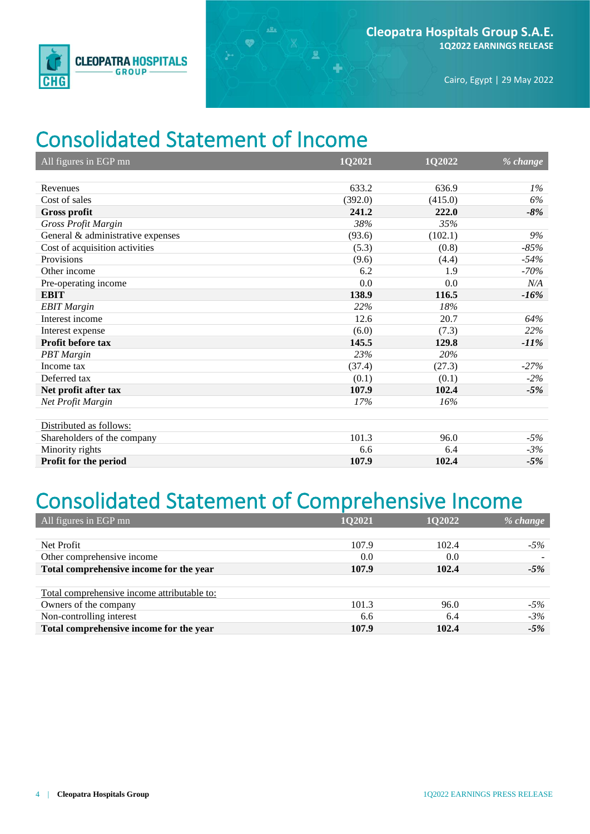

## Consolidated Statement of Income

 $\bullet$ 

显

| All figures in EGP mn             | 1Q2021  | 1Q2022  | % change |
|-----------------------------------|---------|---------|----------|
|                                   |         |         |          |
| Revenues                          | 633.2   | 636.9   | $1\%$    |
| Cost of sales                     | (392.0) | (415.0) | 6%       |
| <b>Gross profit</b>               | 241.2   | 222.0   | $-8%$    |
| Gross Profit Margin               | 38%     | 35%     |          |
| General & administrative expenses | (93.6)  | (102.1) | 9%       |
| Cost of acquisition activities    | (5.3)   | (0.8)   | $-85%$   |
| Provisions                        | (9.6)   | (4.4)   | $-54%$   |
| Other income                      | 6.2     | 1.9     | $-70%$   |
| Pre-operating income              | 0.0     | 0.0     | N/A      |
| <b>EBIT</b>                       | 138.9   | 116.5   | $-16%$   |
| <b>EBIT</b> Margin                | 22%     | 18%     |          |
| Interest income                   | 12.6    | 20.7    | 64%      |
| Interest expense                  | (6.0)   | (7.3)   | 22%      |
| Profit before tax                 | 145.5   | 129.8   | $-11\%$  |
| <b>PBT</b> Margin                 | 23%     | 20%     |          |
| Income tax                        | (37.4)  | (27.3)  | $-27%$   |
| Deferred tax                      | (0.1)   | (0.1)   | $-2\%$   |
| Net profit after tax              | 107.9   | 102.4   | $-5%$    |
| Net Profit Margin                 | 17%     | 16%     |          |
|                                   |         |         |          |
| Distributed as follows:           |         |         |          |
| Shareholders of the company       | 101.3   | 96.0    | $-5%$    |
| Minority rights                   | 6.6     | 6.4     | $-3%$    |
| Profit for the period             | 107.9   | 102.4   | $-5%$    |

# Consolidated Statement of Comprehensive Income

| All figures in EGP mn                       | 1Q2021 | <b>1Q2022</b> | % change |
|---------------------------------------------|--------|---------------|----------|
|                                             |        |               |          |
| Net Profit                                  | 107.9  | 102.4         | $-5%$    |
| Other comprehensive income                  | 0.0    | 0.0           |          |
| Total comprehensive income for the year     | 107.9  | 102.4         | $-5%$    |
|                                             |        |               |          |
| Total comprehensive income attributable to: |        |               |          |
| Owners of the company                       | 101.3  | 96.0          | $-5\%$   |
| Non-controlling interest                    | 6.6    | 6.4           | $-3%$    |
| Total comprehensive income for the year     | 107.9  | 102.4         | $-5%$    |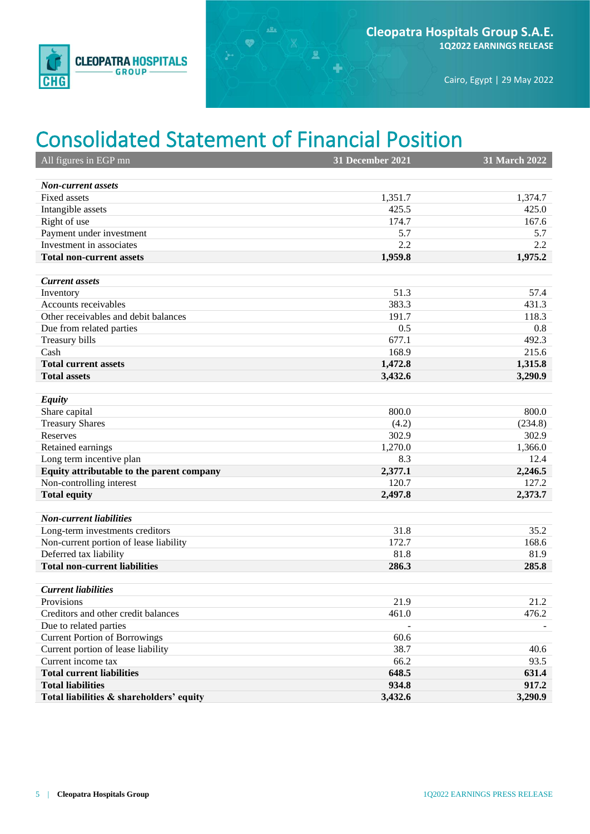

Cairo, Egypt | 29 May 2022

## Consolidated Statement of Financial Position

 $\bullet$ 

 $\mathbf{R}$ 

÷

| All figures in EGP mn                     | <b>31 December 2021</b> | 31 March 2022 |
|-------------------------------------------|-------------------------|---------------|
|                                           |                         |               |
| <b>Non-current assets</b>                 |                         |               |
| Fixed assets                              | 1,351.7                 | 1,374.7       |
| Intangible assets                         | 425.5                   | 425.0         |
| Right of use                              | 174.7                   | 167.6         |
| Payment under investment                  | 5.7                     | 5.7           |
| Investment in associates                  | 2.2                     | 2.2           |
| <b>Total non-current assets</b>           | 1,959.8                 | 1,975.2       |
| <b>Current assets</b>                     |                         |               |
| Inventory                                 | 51.3                    | 57.4          |
| Accounts receivables                      | 383.3                   | 431.3         |
| Other receivables and debit balances      | 191.7                   | 118.3         |
| Due from related parties                  | 0.5                     | 0.8           |
| Treasury bills                            | 677.1                   | 492.3         |
| Cash                                      | 168.9                   | 215.6         |
| <b>Total current assets</b>               | 1,472.8                 | 1,315.8       |
| <b>Total assets</b>                       | 3,432.6                 | 3,290.9       |
|                                           |                         |               |
| <b>Equity</b>                             |                         |               |
| Share capital                             | 800.0                   | 800.0         |
| <b>Treasury Shares</b>                    | (4.2)                   | (234.8)       |
| Reserves                                  | 302.9                   | 302.9         |
| Retained earnings                         | 1,270.0                 | 1,366.0       |
| Long term incentive plan                  | 8.3                     | 12.4          |
| Equity attributable to the parent company | 2,377.1                 | 2,246.5       |
| Non-controlling interest                  | 120.7                   | 127.2         |
| <b>Total equity</b>                       | 2,497.8                 | 2,373.7       |
|                                           |                         |               |
| <b>Non-current liabilities</b>            |                         |               |
| Long-term investments creditors           | 31.8                    | 35.2          |
| Non-current portion of lease liability    | 172.7                   | 168.6         |
| Deferred tax liability                    | 81.8                    | 81.9          |
| <b>Total non-current liabilities</b>      | 286.3                   | 285.8         |
|                                           |                         |               |
| <b>Current liabilities</b>                |                         |               |
| Provisions                                | 21.9                    | 21.2          |
| Creditors and other credit balances       | 461.0                   | 476.2         |
| Due to related parties                    |                         |               |
| <b>Current Portion of Borrowings</b>      | 60.6                    |               |
| Current portion of lease liability        | 38.7                    | 40.6          |
| Current income tax                        | 66.2                    | 93.5          |
| <b>Total current liabilities</b>          | 648.5                   | 631.4         |
| <b>Total liabilities</b>                  | 934.8                   | 917.2         |
| Total liabilities & shareholders' equity  | 3,432.6                 | 3,290.9       |